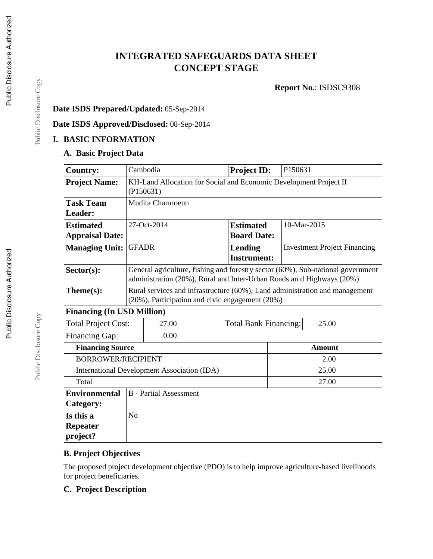# **INTEGRATED SAFEGUARDS DATA SHEET CONCEPT STAGE**

**Report No.**: ISDSC9308

### **Date ISDS Prepared/Updated:** 05-Sep-2014

**Date ISDS Approved/Disclosed:** 08-Sep-2014

### **I. BASIC INFORMATION**

#### **A. Basic Project Data**

| <b>Country:</b>                             |                                                                                                                                                          | Cambodia    | <b>Project ID:</b>                     | P150631                             |  |
|---------------------------------------------|----------------------------------------------------------------------------------------------------------------------------------------------------------|-------------|----------------------------------------|-------------------------------------|--|
| <b>Project Name:</b>                        | KH-Land Allocation for Social and Economic Development Project II<br>(P150631)                                                                           |             |                                        |                                     |  |
| <b>Task Team</b><br>Leader:                 | Mudita Chamroeun                                                                                                                                         |             |                                        |                                     |  |
| <b>Estimated</b><br><b>Appraisal Date:</b>  |                                                                                                                                                          | 27-Oct-2014 | <b>Estimated</b><br><b>Board Date:</b> | 10-Mar-2015                         |  |
| <b>Managing Unit:</b>                       | <b>GFADR</b>                                                                                                                                             |             | <b>Lending</b><br><b>Instrument:</b>   | <b>Investment Project Financing</b> |  |
| Sector(s):                                  | General agriculture, fishing and forestry sector (60%), Sub-national government<br>administration (20%), Rural and Inter-Urban Roads an d Highways (20%) |             |                                        |                                     |  |
| $Thene(s):$                                 | Rural services and infrastructure (60%), Land administration and management<br>(20%), Participation and civic engagement (20%)                           |             |                                        |                                     |  |
| <b>Financing (In USD Million)</b>           |                                                                                                                                                          |             |                                        |                                     |  |
| <b>Total Project Cost:</b>                  |                                                                                                                                                          | 27.00       | <b>Total Bank Financing:</b><br>25.00  |                                     |  |
| Financing Gap:                              |                                                                                                                                                          | 0.00        |                                        |                                     |  |
| <b>Financing Source</b>                     |                                                                                                                                                          |             |                                        | <b>Amount</b>                       |  |
| <b>BORROWER/RECIPIENT</b>                   |                                                                                                                                                          |             |                                        | 2.00                                |  |
| International Development Association (IDA) |                                                                                                                                                          |             |                                        | 25.00                               |  |
| Total                                       |                                                                                                                                                          |             |                                        | 27.00                               |  |
| <b>Environmental</b><br>Category:           | <b>B</b> - Partial Assessment                                                                                                                            |             |                                        |                                     |  |
| Is this a                                   | No                                                                                                                                                       |             |                                        |                                     |  |
| <b>Repeater</b>                             |                                                                                                                                                          |             |                                        |                                     |  |
| project?                                    |                                                                                                                                                          |             |                                        |                                     |  |

### **B. Project Objectives**

The proposed project development objective (PDO) is to help improve agriculture-based livelihoods for project beneficiaries.

### **C. Project Description**

Public Disclosure Copy

Public Disclosure Copy

Public Disclosure Copy

Public Disclosure Copy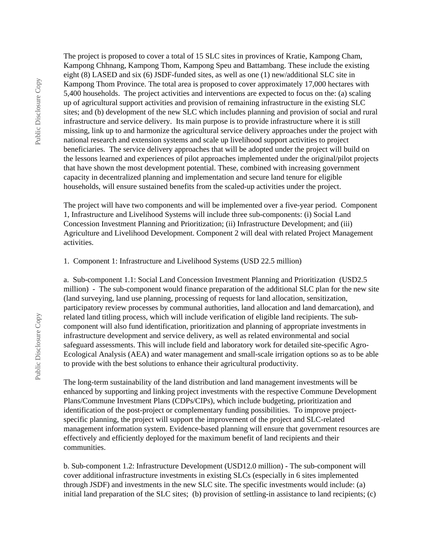The project is proposed to cover a total of 15 SLC sites in provinces of Kratie, Kampong Cham, Kampong Chhnang, Kampong Thom, Kampong Speu and Battambang. These include the existing eight (8) LASED and six (6) JSDF-funded sites, as well as one (1) new/additional SLC site in Kampong Thom Province. The total area is proposed to cover approximately 17,000 hectares with 5,400 households. The project activities and interventions are expected to focus on the: (a) scaling up of agricultural support activities and provision of remaining infrastructure in the existing SLC sites; and (b) development of the new SLC which includes planning and provision of social and rural infrastructure and service delivery. Its main purpose is to provide infrastructure where it is still missing, link up to and harmonize the agricultural service delivery approaches under the project with national research and extension systems and scale up livelihood support activities to project beneficiaries. The service delivery approaches that will be adopted under the project will build on the lessons learned and experiences of pilot approaches implemented under the original/pilot projects that have shown the most development potential. These, combined with increasing government capacity in decentralized planning and implementation and secure land tenure for eligible households, will ensure sustained benefits from the scaled-up activities under the project.

The project will have two components and will be implemented over a five-year period. Component 1, Infrastructure and Livelihood Systems will include three sub-components: (i) Social Land Concession Investment Planning and Prioritization; (ii) Infrastructure Development; and (iii) Agriculture and Livelihood Development. Component 2 will deal with related Project Management activities.

1. Component 1: Infrastructure and Livelihood Systems (USD 22.5 million)

a. Sub-component 1.1: Social Land Concession Investment Planning and Prioritization (USD2.5 million) - The sub-component would finance preparation of the additional SLC plan for the new site (land surveying, land use planning, processing of requests for land allocation, sensitization, participatory review processes by communal authorities, land allocation and land demarcation), and related land titling process, which will include verification of eligible land recipients. The subcomponent will also fund identification, prioritization and planning of appropriate investments in infrastructure development and service delivery, as well as related environmental and social safeguard assessments. This will include field and laboratory work for detailed site-specific Agro-Ecological Analysis (AEA) and water management and small-scale irrigation options so as to be able to provide with the best solutions to enhance their agricultural productivity.

The long-term sustainability of the land distribution and land management investments will be enhanced by supporting and linking project investments with the respective Commune Development Plans/Commune Investment Plans (CDPs/CIPs), which include budgeting, prioritization and identification of the post-project or complementary funding possibilities. To improve projectspecific planning, the project will support the improvement of the project and SLC-related management information system. Evidence-based planning will ensure that government resources are effectively and efficiently deployed for the maximum benefit of land recipients and their communities.

b. Sub-component 1.2: Infrastructure Development (USD12.0 million) - The sub-component will cover additional infrastructure investments in existing SLCs (especially in 6 sites implemented through JSDF) and investments in the new SLC site. The specific investments would include: (a) initial land preparation of the SLC sites; (b) provision of settling-in assistance to land recipients; (c)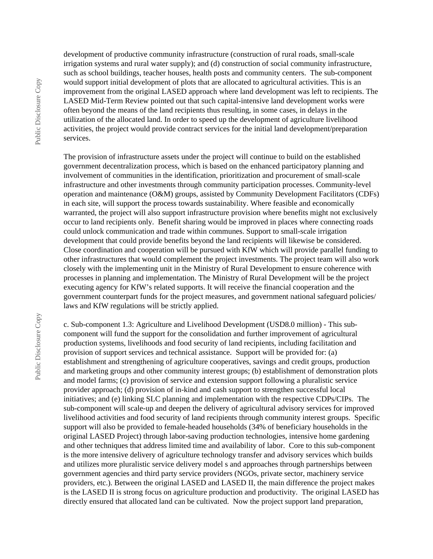development of productive community infrastructure (construction of rural roads, small-scale irrigation systems and rural water supply); and (d) construction of social community infrastructure, such as school buildings, teacher houses, health posts and community centers. The sub-component would support initial development of plots that are allocated to agricultural activities. This is an improvement from the original LASED approach where land development was left to recipients. The LASED Mid-Term Review pointed out that such capital-intensive land development works were often beyond the means of the land recipients thus resulting, in some cases, in delays in the utilization of the allocated land. In order to speed up the development of agriculture livelihood activities, the project would provide contract services for the initial land development/preparation services.

The provision of infrastructure assets under the project will continue to build on the established government decentralization process, which is based on the enhanced participatory planning and involvement of communities in the identification, prioritization and procurement of small-scale infrastructure and other investments through community participation processes. Community-level operation and maintenance (O&M) groups, assisted by Community Development Facilitators (CDFs) in each site, will support the process towards sustainability. Where feasible and economically warranted, the project will also support infrastructure provision where benefits might not exclusively occur to land recipients only. Benefit sharing would be improved in places where connecting roads could unlock communication and trade within communes. Support to small-scale irrigation development that could provide benefits beyond the land recipients will likewise be considered. Close coordination and cooperation will be pursued with KfW which will provide parallel funding to other infrastructures that would complement the project investments. The project team will also work closely with the implementing unit in the Ministry of Rural Development to ensure coherence with processes in planning and implementation. The Ministry of Rural Development will be the project executing agency for KfW's related supports. It will receive the financial cooperation and the government counterpart funds for the project measures, and government national safeguard policies/ laws and KfW regulations will be strictly applied.

c. Sub-component 1.3: Agriculture and Livelihood Development (USD8.0 million) - This subcomponent will fund the support for the consolidation and further improvement of agricultural production systems, livelihoods and food security of land recipients, including facilitation and provision of support services and technical assistance. Support will be provided for: (a) establishment and strengthening of agriculture cooperatives, savings and credit groups, production and marketing groups and other community interest groups; (b) establishment of demonstration plots and model farms; (c) provision of service and extension support following a pluralistic service provider approach; (d) provision of in-kind and cash support to strengthen successful local initiatives; and (e) linking SLC planning and implementation with the respective CDPs/CIPs. The sub-component will scale-up and deepen the delivery of agricultural advisory services for improved livelihood activities and food security of land recipients through community interest groups. Specific support will also be provided to female-headed households (34% of beneficiary households in the original LASED Project) through labor-saving production technologies, intensive home gardening and other techniques that address limited time and availability of labor. Core to this sub-component is the more intensive delivery of agriculture technology transfer and advisory services which builds and utilizes more pluralistic service delivery model s and approaches through partnerships between government agencies and third party service providers (NGOs, private sector, machinery service providers, etc.). Between the original LASED and LASED II, the main difference the project makes is the LASED II is strong focus on agriculture production and productivity. The original LASED has directly ensured that allocated land can be cultivated. Now the project support land preparation,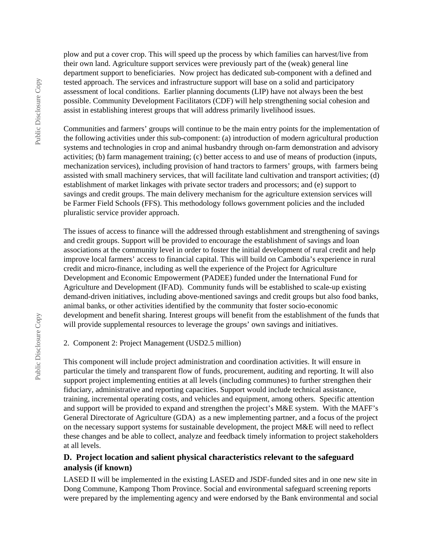plow and put a cover crop. This will speed up the process by which families can harvest/live from their own land. Agriculture support services were previously part of the (weak) general line department support to beneficiaries. Now project has dedicated sub-component with a defined and tested approach. The services and infrastructure support will base on a solid and participatory assessment of local conditions. Earlier planning documents (LIP) have not always been the best possible. Community Development Facilitators (CDF) will help strengthening social cohesion and assist in establishing interest groups that will address primarily livelihood issues.

Communities and farmers' groups will continue to be the main entry points for the implementation of the following activities under this sub-component: (a) introduction of modern agricultural production systems and technologies in crop and animal husbandry through on-farm demonstration and advisory activities; (b) farm management training; (c) better access to and use of means of production (inputs, mechanization services), including provision of hand tractors to farmers' groups, with farmers being assisted with small machinery services, that will facilitate land cultivation and transport activities; (d) establishment of market linkages with private sector traders and processors; and (e) support to savings and credit groups. The main delivery mechanism for the agriculture extension services will be Farmer Field Schools (FFS). This methodology follows government policies and the included pluralistic service provider approach.

The issues of access to finance will the addressed through establishment and strengthening of savings and credit groups. Support will be provided to encourage the establishment of savings and loan associations at the community level in order to foster the initial development of rural credit and help improve local farmers' access to financial capital. This will build on Cambodia's experience in rural credit and micro-finance, including as well the experience of the Project for Agriculture Development and Economic Empowerment (PADEE) funded under the International Fund for Agriculture and Development (IFAD). Community funds will be established to scale-up existing demand-driven initiatives, including above-mentioned savings and credit groups but also food banks, animal banks, or other activities identified by the community that foster socio-economic development and benefit sharing. Interest groups will benefit from the establishment of the funds that will provide supplemental resources to leverage the groups' own savings and initiatives.

2. Component 2: Project Management (USD2.5 million)

This component will include project administration and coordination activities. It will ensure in particular the timely and transparent flow of funds, procurement, auditing and reporting. It will also support project implementing entities at all levels (including communes) to further strengthen their fiduciary, administrative and reporting capacities. Support would include technical assistance, training, incremental operating costs, and vehicles and equipment, among others. Specific attention and support will be provided to expand and strengthen the project's M&E system. With the MAFF's General Directorate of Agriculture (GDA) as a new implementing partner, and a focus of the project on the necessary support systems for sustainable development, the project M&E will need to reflect these changes and be able to collect, analyze and feedback timely information to project stakeholders at all levels.

#### **D. Project location and salient physical characteristics relevant to the safeguard analysis (if known)**

LASED II will be implemented in the existing LASED and JSDF-funded sites and in one new site in Dong Commune, Kampong Thom Province. Social and environmental safeguard screening reports were prepared by the implementing agency and were endorsed by the Bank environmental and social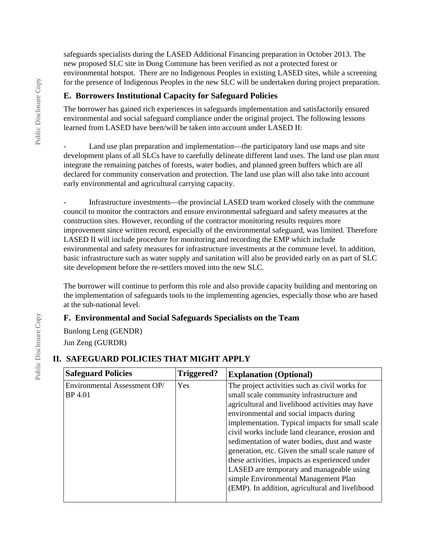safeguards specialists during the LASED Additional Financing preparation in October 2013. The new proposed SLC site in Dong Commune has been verified as not a protected forest or environmental hotspot. There are no Indigenous Peoples in existing LASED sites, while a screening for the presence of Indigenous Peoples in the new SLC will be undertaken during project preparation.

#### **E. Borrowers Institutional Capacity for Safeguard Policies**

The borrower has gained rich experiences in safeguards implementation and satisfactorily ensured environmental and social safeguard compliance under the original project. The following lessons learned from LASED have been/will be taken into account under LASED II:

Land use plan preparation and implementation—the participatory land use maps and site development plans of all SLCs have to carefully delineate different land uses. The land use plan must integrate the remaining patches of forests, water bodies, and planned green buffers which are all declared for community conservation and protection. The land use plan will also take into account early environmental and agricultural carrying capacity.

- Infrastructure investments—the provincial LASED team worked closely with the commune council to monitor the contractors and ensure environmental safeguard and safety measures at the construction sites. However, recording of the contractor monitoring results requires more improvement since written record, especially of the environmental safeguard, was limited. Therefore LASED II will include procedure for monitoring and recording the EMP which include environmental and safety measures for infrastructure investments at the commune level. In addition, basic infrastructure such as water supply and sanitation will also be provided early on as part of SLC site development before the re-settlers moved into the new SLC.

The borrower will continue to perform this role and also provide capacity building and mentoring on the implementation of safeguards tools to the implementing agencies, especially those who are based at the sub-national level.

#### **F. Environmental and Social Safeguards Specialists on the Team**

Bunlong Leng (GENDR) Jun Zeng (GURDR)

# **II. SAFEGUARD POLICIES THAT MIGHT APPLY**

| <b>Safeguard Policies</b>                      | Triggered? | <b>Explanation (Optional)</b>                                                                                                                                                                                                                                                                                                                                                                                                                                                                                                                                                                |
|------------------------------------------------|------------|----------------------------------------------------------------------------------------------------------------------------------------------------------------------------------------------------------------------------------------------------------------------------------------------------------------------------------------------------------------------------------------------------------------------------------------------------------------------------------------------------------------------------------------------------------------------------------------------|
| Environmental Assessment OP/<br><b>BP</b> 4.01 | Yes        | The project activities such as civil works for<br>small scale community infrastructure and<br>agricultural and livelihood activities may have<br>environmental and social impacts during<br>implementation. Typical impacts for small scale<br>civil works include land clearance, erosion and<br>sedimentation of water bodies, dust and waste<br>generation, etc. Given the small scale nature of<br>these activities, impacts as experienced under<br>LASED are temporary and manageable using<br>simple Environmental Management Plan<br>(EMP). In addition, agricultural and livelihood |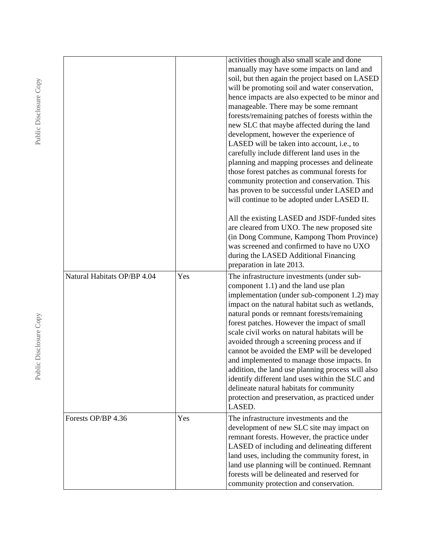|                             |     | activities though also small scale and done<br>manually may have some impacts on land and<br>soil, but then again the project based on LASED<br>will be promoting soil and water conservation,                                                                                                                                                                                                                                                                                                                                                                                                                                                                                                   |
|-----------------------------|-----|--------------------------------------------------------------------------------------------------------------------------------------------------------------------------------------------------------------------------------------------------------------------------------------------------------------------------------------------------------------------------------------------------------------------------------------------------------------------------------------------------------------------------------------------------------------------------------------------------------------------------------------------------------------------------------------------------|
|                             |     | hence impacts are also expected to be minor and<br>manageable. There may be some remnant<br>forests/remaining patches of forests within the                                                                                                                                                                                                                                                                                                                                                                                                                                                                                                                                                      |
|                             |     | new SLC that maybe affected during the land<br>development, however the experience of<br>LASED will be taken into account, i.e., to<br>carefully include different land uses in the<br>planning and mapping processes and delineate<br>those forest patches as communal forests for<br>community protection and conservation. This                                                                                                                                                                                                                                                                                                                                                               |
|                             |     | has proven to be successful under LASED and<br>will continue to be adopted under LASED II.                                                                                                                                                                                                                                                                                                                                                                                                                                                                                                                                                                                                       |
|                             |     | All the existing LASED and JSDF-funded sites<br>are cleared from UXO. The new proposed site<br>(in Dong Commune, Kampong Thom Province)<br>was screened and confirmed to have no UXO<br>during the LASED Additional Financing<br>preparation in late 2013.                                                                                                                                                                                                                                                                                                                                                                                                                                       |
| Natural Habitats OP/BP 4.04 | Yes | The infrastructure investments (under sub-<br>component 1.1) and the land use plan<br>implementation (under sub-component 1.2) may<br>impact on the natural habitat such as wetlands,<br>natural ponds or remnant forests/remaining<br>forest patches. However the impact of small<br>scale civil works on natural habitats will be<br>avoided through a screening process and if<br>cannot be avoided the EMP will be developed<br>and implemented to manage those impacts. In<br>addition, the land use planning process will also<br>identify different land uses within the SLC and<br>delineate natural habitats for community<br>protection and preservation, as practiced under<br>LASED. |
| Forests OP/BP 4.36          | Yes | The infrastructure investments and the<br>development of new SLC site may impact on<br>remnant forests. However, the practice under<br>LASED of including and delineating different<br>land uses, including the community forest, in<br>land use planning will be continued. Remnant<br>forests will be delineated and reserved for<br>community protection and conservation.                                                                                                                                                                                                                                                                                                                    |

Public Disclosure Copy Public Disclosure Copy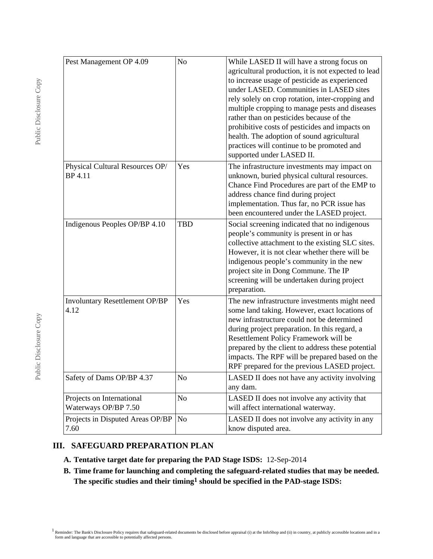| Pest Management OP 4.09                           | N <sub>o</sub> | While LASED II will have a strong focus on<br>agricultural production, it is not expected to lead<br>to increase usage of pesticide as experienced<br>under LASED. Communities in LASED sites<br>rely solely on crop rotation, inter-cropping and<br>multiple cropping to manage pests and diseases<br>rather than on pesticides because of the<br>prohibitive costs of pesticides and impacts on<br>health. The adoption of sound agricultural<br>practices will continue to be promoted and<br>supported under LASED II. |
|---------------------------------------------------|----------------|----------------------------------------------------------------------------------------------------------------------------------------------------------------------------------------------------------------------------------------------------------------------------------------------------------------------------------------------------------------------------------------------------------------------------------------------------------------------------------------------------------------------------|
| Physical Cultural Resources OP/<br><b>BP</b> 4.11 | Yes            | The infrastructure investments may impact on<br>unknown, buried physical cultural resources.<br>Chance Find Procedures are part of the EMP to<br>address chance find during project<br>implementation. Thus far, no PCR issue has<br>been encountered under the LASED project.                                                                                                                                                                                                                                             |
| Indigenous Peoples OP/BP 4.10                     | <b>TBD</b>     | Social screening indicated that no indigenous<br>people's community is present in or has<br>collective attachment to the existing SLC sites.<br>However, it is not clear whether there will be<br>indigenous people's community in the new<br>project site in Dong Commune. The IP<br>screening will be undertaken during project<br>preparation.                                                                                                                                                                          |
| Involuntary Resettlement OP/BP<br>4.12            | Yes            | The new infrastructure investments might need<br>some land taking. However, exact locations of<br>new infrastructure could not be determined<br>during project preparation. In this regard, a<br>Resettlement Policy Framework will be<br>prepared by the client to address these potential<br>impacts. The RPF will be prepared based on the<br>RPF prepared for the previous LASED project.                                                                                                                              |
| Safety of Dams OP/BP 4.37                         | No             | LASED II does not have any activity involving<br>any dam.                                                                                                                                                                                                                                                                                                                                                                                                                                                                  |
| Projects on International<br>Waterways OP/BP 7.50 | N <sub>o</sub> | LASED II does not involve any activity that<br>will affect international waterway.                                                                                                                                                                                                                                                                                                                                                                                                                                         |
| Projects in Disputed Areas OP/BP<br>7.60          | No             | LASED II does not involve any activity in any<br>know disputed area.                                                                                                                                                                                                                                                                                                                                                                                                                                                       |

#### **III. SAFEGUARD PREPARATION PLAN**

- **A. Tentative target date for preparing the PAD Stage ISDS:** 12-Sep-2014
- **B. Time frame for launching and completing the safeguard-related studies that may be needed. The specific studies and their timing1 should be specified in the PAD-stage ISDS:**

<sup>1</sup> Reminder: The Bank's Disclosure Policy requires that safeguard-related documents be disclosed before appraisal (i) at the InfoShop and (ii) in country, at publicly accessible locations and in a form and language that a